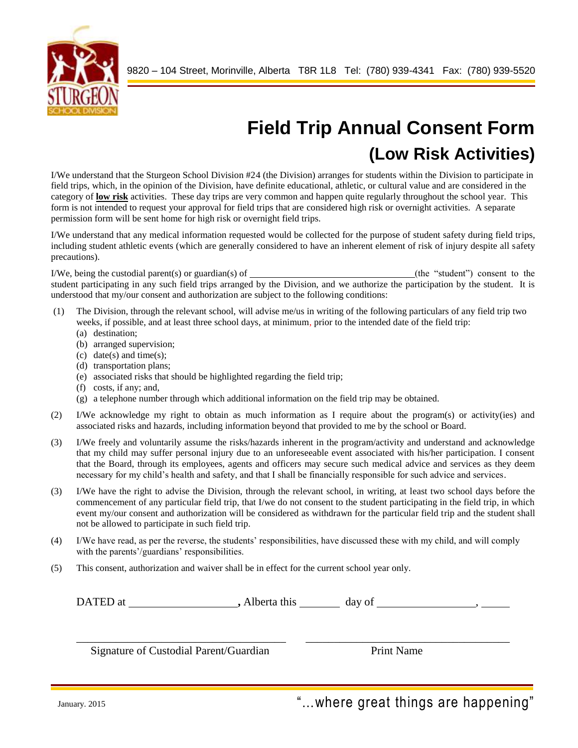

## **Field Trip Annual Consent Form (Low Risk Activities)**

I/We understand that the Sturgeon School Division #24 (the Division) arranges for students within the Division to participate in field trips, which, in the opinion of the Division, have definite educational, athletic, or cultural value and are considered in the category of **low risk** activities. These day trips are very common and happen quite regularly throughout the school year. This form is not intended to request your approval for field trips that are considered high risk or overnight activities. A separate permission form will be sent home for high risk or overnight field trips.

I/We understand that any medical information requested would be collected for the purpose of student safety during field trips, including student athletic events (which are generally considered to have an inherent element of risk of injury despite all safety precautions).

I/We, being the custodial parent(s) or guardian(s) of (the "student") consent to the student participating in any such field trips arranged by the Division, and we authorize the participation by the student. It is understood that my/our consent and authorization are subject to the following conditions:

- (1) The Division, through the relevant school, will advise me/us in writing of the following particulars of any field trip two weeks, if possible, and at least three school days, at minimum, prior to the intended date of the field trip:
	- (a) destination;
	- (b) arranged supervision;
	- (c) date(s) and time(s);
	- (d) transportation plans;
	- (e) associated risks that should be highlighted regarding the field trip;
	- (f) costs, if any; and,
	- (g) a telephone number through which additional information on the field trip may be obtained.
- (2) I/We acknowledge my right to obtain as much information as I require about the program(s) or activity(ies) and associated risks and hazards, including information beyond that provided to me by the school or Board.
- (3) I/We freely and voluntarily assume the risks/hazards inherent in the program/activity and understand and acknowledge that my child may suffer personal injury due to an unforeseeable event associated with his/her participation. I consent that the Board, through its employees, agents and officers may secure such medical advice and services as they deem necessary for my child's health and safety, and that I shall be financially responsible for such advice and services.
- (3) I/We have the right to advise the Division, through the relevant school, in writing, at least two school days before the commencement of any particular field trip, that I/we do not consent to the student participating in the field trip, in which event my/our consent and authorization will be considered as withdrawn for the particular field trip and the student shall not be allowed to participate in such field trip.
- (4) I/We have read, as per the reverse, the students' responsibilities, have discussed these with my child, and will comply with the parents'/guardians' responsibilities.
- (5) This consent, authorization and waiver shall be in effect for the current school year only.

| DATED at |  | Alberta this | day of |  |
|----------|--|--------------|--------|--|
|----------|--|--------------|--------|--|

\_\_\_\_\_\_\_\_\_\_\_\_\_\_\_\_\_\_\_\_\_\_\_\_\_\_\_\_\_\_\_\_\_\_\_\_\_ \_\_\_\_\_\_\_\_\_\_\_\_\_\_\_\_\_\_\_\_\_\_\_\_\_\_\_\_\_\_\_\_\_\_\_\_

Signature of Custodial Parent/Guardian Print Name

January. 2015 **Tanuary. 2015 Tanuary. 2015 Tanuary. 2015 Contract Contract Contract Contract Contract Contract Contract Contract Contract Contract Contract Contract Contract Contract Contract Contract Contract Contra**